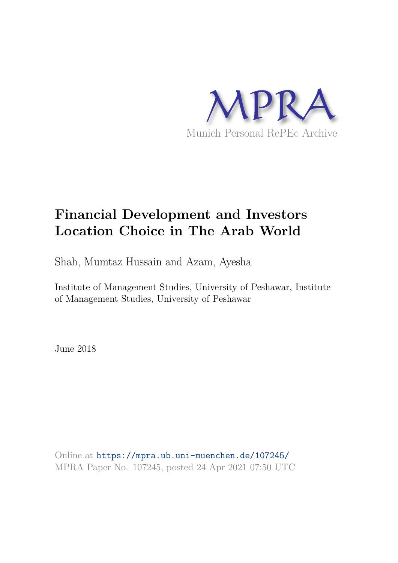

# **Financial Development and Investors Location Choice in The Arab World**

Shah, Mumtaz Hussain and Azam, Ayesha

Institute of Management Studies, University of Peshawar, Institute of Management Studies, University of Peshawar

June 2018

Online at https://mpra.ub.uni-muenchen.de/107245/ MPRA Paper No. 107245, posted 24 Apr 2021 07:50 UTC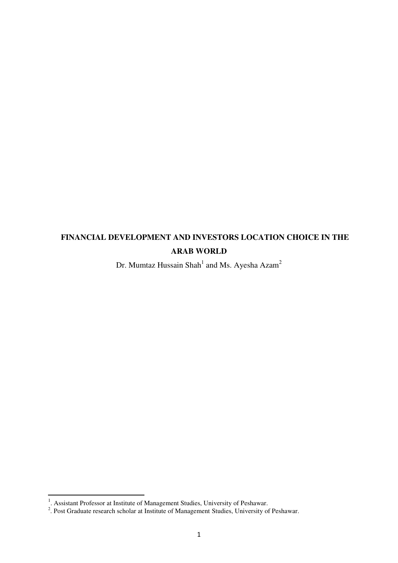# **FINANCIAL DEVELOPMENT AND INVESTORS LOCATION CHOICE IN THE ARAB WORLD**

Dr. Mumtaz Hussain Shah $^1$  and Ms. Ayesha Azam $^2$ 

 $\overline{a}$ 

<sup>&</sup>lt;sup>1</sup>. Assistant Professor at Institute of Management Studies, University of Peshawar.<br><sup>2</sup>. Post Graduate research scholar at Institute of Management Studies, University of Peshawar.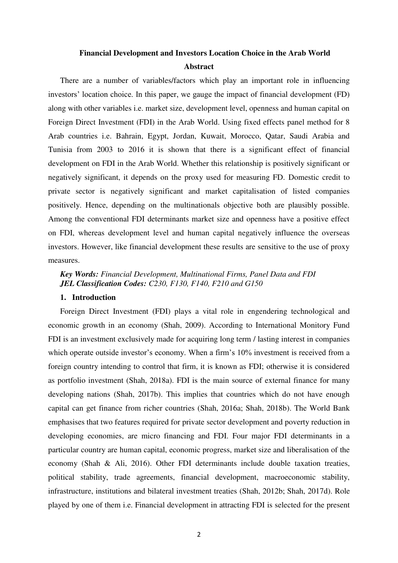# **Financial Development and Investors Location Choice in the Arab World Abstract**

There are a number of variables/factors which play an important role in influencing investors' location choice. In this paper, we gauge the impact of financial development (FD) along with other variables i.e. market size, development level, openness and human capital on Foreign Direct Investment (FDI) in the Arab World. Using fixed effects panel method for 8 Arab countries i.e. Bahrain, Egypt, Jordan, Kuwait, Morocco, Qatar, Saudi Arabia and Tunisia from 2003 to 2016 it is shown that there is a significant effect of financial development on FDI in the Arab World. Whether this relationship is positively significant or negatively significant, it depends on the proxy used for measuring FD. Domestic credit to private sector is negatively significant and market capitalisation of listed companies positively. Hence, depending on the multinationals objective both are plausibly possible. Among the conventional FDI determinants market size and openness have a positive effect on FDI, whereas development level and human capital negatively influence the overseas investors. However, like financial development these results are sensitive to the use of proxy measures.

# *Key Words: Financial Development, Multinational Firms, Panel Data and FDI JEL Classification Codes: C230, F130, F140, F210 and G150*

# **1. Introduction**

Foreign Direct Investment (FDI) plays a vital role in engendering technological and economic growth in an economy (Shah, 2009). According to International Monitory Fund FDI is an investment exclusively made for acquiring long term / lasting interest in companies which operate outside investor's economy. When a firm's 10% investment is received from a foreign country intending to control that firm, it is known as FDI; otherwise it is considered as portfolio investment (Shah, 2018a). FDI is the main source of external finance for many developing nations (Shah, 2017b). This implies that countries which do not have enough capital can get finance from richer countries (Shah, 2016a; Shah, 2018b). The World Bank emphasises that two features required for private sector development and poverty reduction in developing economies, are micro financing and FDI. Four major FDI determinants in a particular country are human capital, economic progress, market size and liberalisation of the economy (Shah & Ali, 2016). Other FDI determinants include double taxation treaties, political stability, trade agreements, financial development, macroeconomic stability, infrastructure, institutions and bilateral investment treaties (Shah, 2012b; Shah, 2017d). Role played by one of them i.e. Financial development in attracting FDI is selected for the present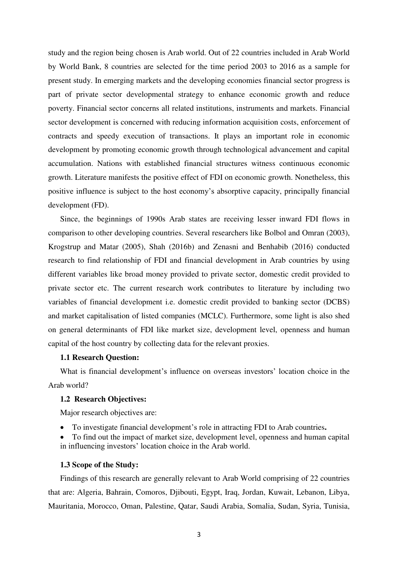study and the region being chosen is Arab world. Out of 22 countries included in Arab World by World Bank, 8 countries are selected for the time period 2003 to 2016 as a sample for present study. In emerging markets and the developing economies financial sector progress is part of private sector developmental strategy to enhance economic growth and reduce poverty. Financial sector concerns all related institutions, instruments and markets. Financial sector development is concerned with reducing information acquisition costs, enforcement of contracts and speedy execution of transactions. It plays an important role in economic development by promoting economic growth through technological advancement and capital accumulation. Nations with established financial structures witness continuous economic growth. Literature manifests the positive effect of FDI on economic growth. Nonetheless, this positive influence is subject to the host economy's absorptive capacity, principally financial development (FD).

Since, the beginnings of 1990s Arab states are receiving lesser inward FDI flows in comparison to other developing countries. Several researchers like Bolbol and Omran (2003), Krogstrup and Matar (2005), Shah (2016b) and Zenasni and Benhabib (2016) conducted research to find relationship of FDI and financial development in Arab countries by using different variables like broad money provided to private sector, domestic credit provided to private sector etc. The current research work contributes to literature by including two variables of financial development i.e. domestic credit provided to banking sector (DCBS) and market capitalisation of listed companies (MCLC). Furthermore, some light is also shed on general determinants of FDI like market size, development level, openness and human capital of the host country by collecting data for the relevant proxies.

# **1.1 Research Question:**

What is financial development's influence on overseas investors' location choice in the Arab world?

# **1.2 Research Objectives:**

Major research objectives are:

- To investigate financial development's role in attracting FDI to Arab countries**.**
- To find out the impact of market size, development level, openness and human capital in influencing investors' location choice in the Arab world.

## **1.3 Scope of the Study:**

Findings of this research are generally relevant to Arab World comprising of 22 countries that are: Algeria, Bahrain, Comoros, Djibouti, Egypt, Iraq, Jordan, Kuwait, Lebanon, Libya, Mauritania, Morocco, Oman, Palestine, Qatar, Saudi Arabia, Somalia, Sudan, Syria, Tunisia,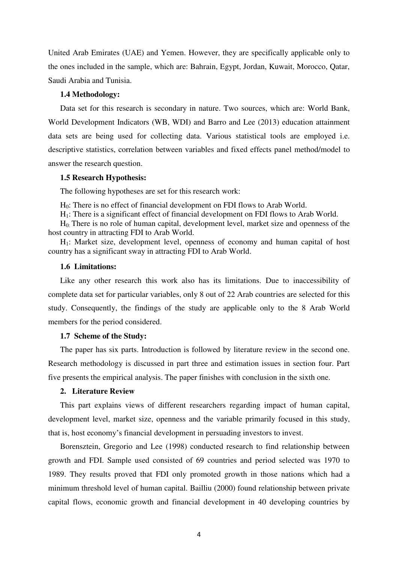United Arab Emirates (UAE) and Yemen. However, they are specifically applicable only to the ones included in the sample, which are: Bahrain, Egypt, Jordan, Kuwait, Morocco, Qatar, Saudi Arabia and Tunisia.

# **1.4 Methodology:**

Data set for this research is secondary in nature. Two sources, which are: World Bank, World Development Indicators (WB, WDI) and Barro and Lee (2013) education attainment data sets are being used for collecting data. Various statistical tools are employed i.e. descriptive statistics, correlation between variables and fixed effects panel method/model to answer the research question.

# **1.5 Research Hypothesis:**

The following hypotheses are set for this research work:

H0: There is no effect of financial development on FDI flows to Arab World.

H<sub>1</sub>: There is a significant effect of financial development on FDI flows to Arab World.

H0: There is no role of human capital, development level, market size and openness of the host country in attracting FDI to Arab World.

H1: Market size, development level, openness of economy and human capital of host country has a significant sway in attracting FDI to Arab World.

#### **1.6 Limitations:**

Like any other research this work also has its limitations. Due to inaccessibility of complete data set for particular variables, only 8 out of 22 Arab countries are selected for this study. Consequently, the findings of the study are applicable only to the 8 Arab World members for the period considered.

# **1.7 Scheme of the Study:**

The paper has six parts. Introduction is followed by literature review in the second one. Research methodology is discussed in part three and estimation issues in section four. Part five presents the empirical analysis. The paper finishes with conclusion in the sixth one.

# **2. Literature Review**

This part explains views of different researchers regarding impact of human capital, development level, market size, openness and the variable primarily focused in this study, that is, host economy's financial development in persuading investors to invest.

Borensztein, Gregorio and Lee (1998) conducted research to find relationship between growth and FDI. Sample used consisted of 69 countries and period selected was 1970 to 1989. They results proved that FDI only promoted growth in those nations which had a minimum threshold level of human capital. Bailliu (2000) found relationship between private capital flows, economic growth and financial development in 40 developing countries by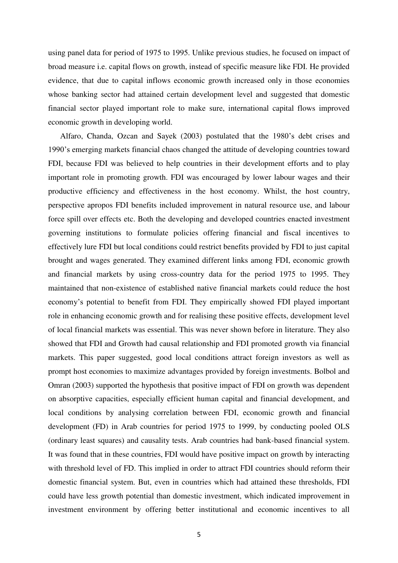using panel data for period of 1975 to 1995. Unlike previous studies, he focused on impact of broad measure i.e. capital flows on growth, instead of specific measure like FDI. He provided evidence, that due to capital inflows economic growth increased only in those economies whose banking sector had attained certain development level and suggested that domestic financial sector played important role to make sure, international capital flows improved economic growth in developing world.

Alfaro, Chanda, Ozcan and Sayek (2003) postulated that the 1980's debt crises and 1990's emerging markets financial chaos changed the attitude of developing countries toward FDI, because FDI was believed to help countries in their development efforts and to play important role in promoting growth. FDI was encouraged by lower labour wages and their productive efficiency and effectiveness in the host economy. Whilst, the host country, perspective apropos FDI benefits included improvement in natural resource use, and labour force spill over effects etc. Both the developing and developed countries enacted investment governing institutions to formulate policies offering financial and fiscal incentives to effectively lure FDI but local conditions could restrict benefits provided by FDI to just capital brought and wages generated. They examined different links among FDI, economic growth and financial markets by using cross-country data for the period 1975 to 1995. They maintained that non-existence of established native financial markets could reduce the host economy's potential to benefit from FDI. They empirically showed FDI played important role in enhancing economic growth and for realising these positive effects, development level of local financial markets was essential. This was never shown before in literature. They also showed that FDI and Growth had causal relationship and FDI promoted growth via financial markets. This paper suggested, good local conditions attract foreign investors as well as prompt host economies to maximize advantages provided by foreign investments. Bolbol and Omran (2003) supported the hypothesis that positive impact of FDI on growth was dependent on absorptive capacities, especially efficient human capital and financial development, and local conditions by analysing correlation between FDI, economic growth and financial development (FD) in Arab countries for period 1975 to 1999, by conducting pooled OLS (ordinary least squares) and causality tests. Arab countries had bank-based financial system. It was found that in these countries, FDI would have positive impact on growth by interacting with threshold level of FD. This implied in order to attract FDI countries should reform their domestic financial system. But, even in countries which had attained these thresholds, FDI could have less growth potential than domestic investment, which indicated improvement in investment environment by offering better institutional and economic incentives to all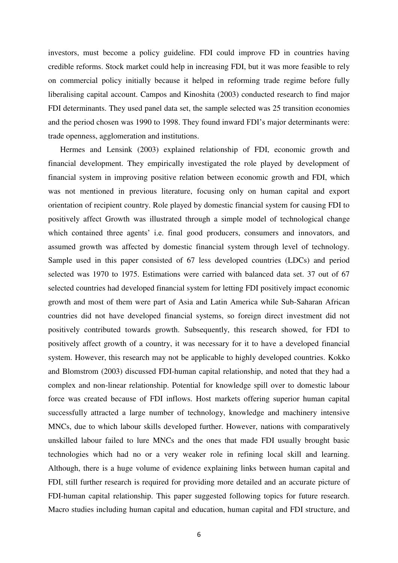investors, must become a policy guideline. FDI could improve FD in countries having credible reforms. Stock market could help in increasing FDI, but it was more feasible to rely on commercial policy initially because it helped in reforming trade regime before fully liberalising capital account. Campos and Kinoshita (2003) conducted research to find major FDI determinants. They used panel data set, the sample selected was 25 transition economies and the period chosen was 1990 to 1998. They found inward FDI's major determinants were: trade openness, agglomeration and institutions.

Hermes and Lensink (2003) explained relationship of FDI, economic growth and financial development. They empirically investigated the role played by development of financial system in improving positive relation between economic growth and FDI, which was not mentioned in previous literature, focusing only on human capital and export orientation of recipient country. Role played by domestic financial system for causing FDI to positively affect Growth was illustrated through a simple model of technological change which contained three agents' i.e. final good producers, consumers and innovators, and assumed growth was affected by domestic financial system through level of technology. Sample used in this paper consisted of 67 less developed countries (LDCs) and period selected was 1970 to 1975. Estimations were carried with balanced data set. 37 out of 67 selected countries had developed financial system for letting FDI positively impact economic growth and most of them were part of Asia and Latin America while Sub-Saharan African countries did not have developed financial systems, so foreign direct investment did not positively contributed towards growth. Subsequently, this research showed, for FDI to positively affect growth of a country, it was necessary for it to have a developed financial system. However, this research may not be applicable to highly developed countries. Kokko and Blomstrom (2003) discussed FDI-human capital relationship, and noted that they had a complex and non-linear relationship. Potential for knowledge spill over to domestic labour force was created because of FDI inflows. Host markets offering superior human capital successfully attracted a large number of technology, knowledge and machinery intensive MNCs, due to which labour skills developed further. However, nations with comparatively unskilled labour failed to lure MNCs and the ones that made FDI usually brought basic technologies which had no or a very weaker role in refining local skill and learning. Although, there is a huge volume of evidence explaining links between human capital and FDI, still further research is required for providing more detailed and an accurate picture of FDI-human capital relationship. This paper suggested following topics for future research. Macro studies including human capital and education, human capital and FDI structure, and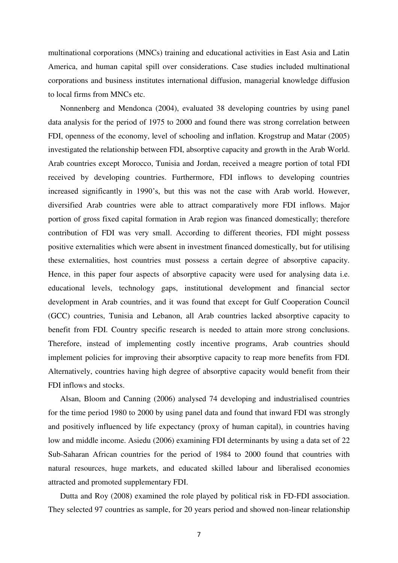multinational corporations (MNCs) training and educational activities in East Asia and Latin America, and human capital spill over considerations. Case studies included multinational corporations and business institutes international diffusion, managerial knowledge diffusion to local firms from MNCs etc.

Nonnenberg and Mendonca (2004), evaluated 38 developing countries by using panel data analysis for the period of 1975 to 2000 and found there was strong correlation between FDI, openness of the economy, level of schooling and inflation. Krogstrup and Matar (2005) investigated the relationship between FDI, absorptive capacity and growth in the Arab World. Arab countries except Morocco, Tunisia and Jordan, received a meagre portion of total FDI received by developing countries. Furthermore, FDI inflows to developing countries increased significantly in 1990's, but this was not the case with Arab world. However, diversified Arab countries were able to attract comparatively more FDI inflows. Major portion of gross fixed capital formation in Arab region was financed domestically; therefore contribution of FDI was very small. According to different theories, FDI might possess positive externalities which were absent in investment financed domestically, but for utilising these externalities, host countries must possess a certain degree of absorptive capacity. Hence, in this paper four aspects of absorptive capacity were used for analysing data i.e. educational levels, technology gaps, institutional development and financial sector development in Arab countries, and it was found that except for Gulf Cooperation Council (GCC) countries, Tunisia and Lebanon, all Arab countries lacked absorptive capacity to benefit from FDI. Country specific research is needed to attain more strong conclusions. Therefore, instead of implementing costly incentive programs, Arab countries should implement policies for improving their absorptive capacity to reap more benefits from FDI. Alternatively, countries having high degree of absorptive capacity would benefit from their FDI inflows and stocks.

Alsan, Bloom and Canning (2006) analysed 74 developing and industrialised countries for the time period 1980 to 2000 by using panel data and found that inward FDI was strongly and positively influenced by life expectancy (proxy of human capital), in countries having low and middle income. Asiedu (2006) examining FDI determinants by using a data set of 22 Sub-Saharan African countries for the period of 1984 to 2000 found that countries with natural resources, huge markets, and educated skilled labour and liberalised economies attracted and promoted supplementary FDI.

Dutta and Roy (2008) examined the role played by political risk in FD-FDI association. They selected 97 countries as sample, for 20 years period and showed non-linear relationship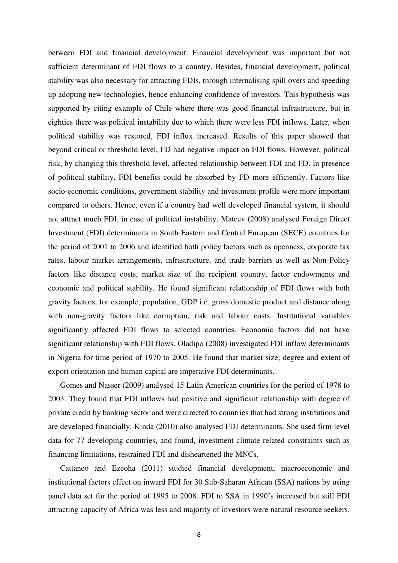between FDI and financial development. Financial development was important but not sufficient determinant of FDI flows to a country. Besides, financial development, political stability was also necessary for attracting FDIs, through internalising spill overs and speeding up adopting new technologies, hence enhancing confidence of investors. This hypothesis was supported by citing example of Chile where there was good financial infrastructure, but in eighties there was political instability due to which there were less FDI inflows. Later, when political stability was restored, FDI influx increased. Results of this paper showed that beyond critical or threshold level, FD had negative impact on FDI flows. However, political risk, by changing this threshold level, affected relationship between FDI and FD. In presence of political stability, FDI benefits could be absorbed by FD more efficiently. Factors like socio-economic conditions, government stability and investment profile were more important compared to others. Hence, even if a country had well developed financial system, it should not attract much FDI, in case of political instability. Mateev (2008) analysed Foreign Direct Investment (FDI) determinants in South Eastern and Central European (SECE) countries for the period of 2001 to 2006 and identified both policy factors such as openness, corporate tax rates, labour market arrangements, infrastructure, and trade barriers as well as Non-Policy factors like distance costs, market size of the recipient country, factor endowments and economic and political stability. He found significant relationship of FDI flows with both gravity factors, for example, population, GDP i.e. gross domestic product and distance along with non-gravity factors like corruption, risk and labour costs. Institutional variables significantly affected FDI flows to selected countries. Economic factors did not have significant relationship with FDI flows. Oladipo (2008) investigated FDI inflow determinants in Nigeria for time period of 1970 to 2005. He found that market size; degree and extent of export orientation and human capital are imperative FDI determinants.

Gomes and Nasser (2009) analysed 15 Latin American countries for the period of 1978 to 2003. They found that FDI inflows had positive and significant relationship with degree of private credit by banking sector and were directed to countries that had strong institutions and are developed financially. Kinda (2010) also analysed FDI determinants. She used firm level data for 77 developing countries, and found, investment climate related constraints such as financing limitations, restrained FDI and disheartened the MNCs.

Cattaneo and Ezeoha (2011) studied financial development, macroeconomic and institutional factors effect on inward FDI for 30 Sub-Saharan African (SSA) nations by using panel data set for the period of 1995 to 2008. FDI to SSA in 1990's increased but still FDI attracting capacity of Africa was less and majority of investors were natural resource seekers.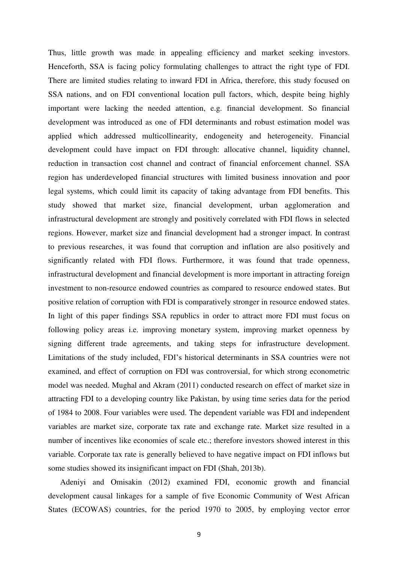Thus, little growth was made in appealing efficiency and market seeking investors. Henceforth, SSA is facing policy formulating challenges to attract the right type of FDI. There are limited studies relating to inward FDI in Africa, therefore, this study focused on SSA nations, and on FDI conventional location pull factors, which, despite being highly important were lacking the needed attention, e.g. financial development. So financial development was introduced as one of FDI determinants and robust estimation model was applied which addressed multicollinearity, endogeneity and heterogeneity. Financial development could have impact on FDI through: allocative channel, liquidity channel, reduction in transaction cost channel and contract of financial enforcement channel. SSA region has underdeveloped financial structures with limited business innovation and poor legal systems, which could limit its capacity of taking advantage from FDI benefits. This study showed that market size, financial development, urban agglomeration and infrastructural development are strongly and positively correlated with FDI flows in selected regions. However, market size and financial development had a stronger impact. In contrast to previous researches, it was found that corruption and inflation are also positively and significantly related with FDI flows. Furthermore, it was found that trade openness, infrastructural development and financial development is more important in attracting foreign investment to non-resource endowed countries as compared to resource endowed states. But positive relation of corruption with FDI is comparatively stronger in resource endowed states. In light of this paper findings SSA republics in order to attract more FDI must focus on following policy areas i.e. improving monetary system, improving market openness by signing different trade agreements, and taking steps for infrastructure development. Limitations of the study included, FDI's historical determinants in SSA countries were not examined, and effect of corruption on FDI was controversial, for which strong econometric model was needed. Mughal and Akram (2011) conducted research on effect of market size in attracting FDI to a developing country like Pakistan, by using time series data for the period of 1984 to 2008. Four variables were used. The dependent variable was FDI and independent variables are market size, corporate tax rate and exchange rate. Market size resulted in a number of incentives like economies of scale etc.; therefore investors showed interest in this variable. Corporate tax rate is generally believed to have negative impact on FDI inflows but some studies showed its insignificant impact on FDI (Shah, 2013b).

Adeniyi and Omisakin (2012) examined FDI, economic growth and financial development causal linkages for a sample of five Economic Community of West African States (ECOWAS) countries, for the period 1970 to 2005, by employing vector error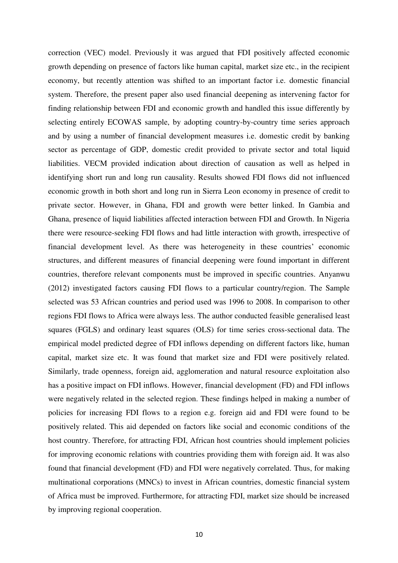correction (VEC) model. Previously it was argued that FDI positively affected economic growth depending on presence of factors like human capital, market size etc., in the recipient economy, but recently attention was shifted to an important factor i.e. domestic financial system. Therefore, the present paper also used financial deepening as intervening factor for finding relationship between FDI and economic growth and handled this issue differently by selecting entirely ECOWAS sample, by adopting country-by-country time series approach and by using a number of financial development measures i.e. domestic credit by banking sector as percentage of GDP, domestic credit provided to private sector and total liquid liabilities. VECM provided indication about direction of causation as well as helped in identifying short run and long run causality. Results showed FDI flows did not influenced economic growth in both short and long run in Sierra Leon economy in presence of credit to private sector. However, in Ghana, FDI and growth were better linked. In Gambia and Ghana, presence of liquid liabilities affected interaction between FDI and Growth. In Nigeria there were resource-seeking FDI flows and had little interaction with growth, irrespective of financial development level. As there was heterogeneity in these countries' economic structures, and different measures of financial deepening were found important in different countries, therefore relevant components must be improved in specific countries. Anyanwu (2012) investigated factors causing FDI flows to a particular country/region. The Sample selected was 53 African countries and period used was 1996 to 2008. In comparison to other regions FDI flows to Africa were always less. The author conducted feasible generalised least squares (FGLS) and ordinary least squares (OLS) for time series cross-sectional data. The empirical model predicted degree of FDI inflows depending on different factors like, human capital, market size etc. It was found that market size and FDI were positively related. Similarly, trade openness, foreign aid, agglomeration and natural resource exploitation also has a positive impact on FDI inflows. However, financial development (FD) and FDI inflows were negatively related in the selected region. These findings helped in making a number of policies for increasing FDI flows to a region e.g. foreign aid and FDI were found to be positively related. This aid depended on factors like social and economic conditions of the host country. Therefore, for attracting FDI, African host countries should implement policies for improving economic relations with countries providing them with foreign aid. It was also found that financial development (FD) and FDI were negatively correlated. Thus, for making multinational corporations (MNCs) to invest in African countries, domestic financial system of Africa must be improved. Furthermore, for attracting FDI, market size should be increased by improving regional cooperation.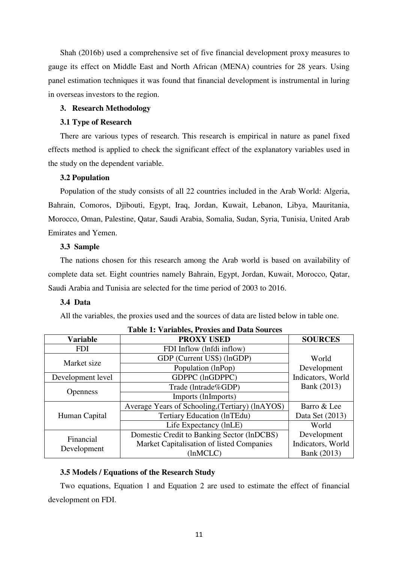Shah (2016b) used a comprehensive set of five financial development proxy measures to gauge its effect on Middle East and North African (MENA) countries for 28 years. Using panel estimation techniques it was found that financial development is instrumental in luring in overseas investors to the region.

# **3. Research Methodology**

# **3.1 Type of Research**

There are various types of research. This research is empirical in nature as panel fixed effects method is applied to check the significant effect of the explanatory variables used in the study on the dependent variable.

## **3.2 Population**

Population of the study consists of all 22 countries included in the Arab World: Algeria, Bahrain, Comoros, Djibouti, Egypt, Iraq, Jordan, Kuwait, Lebanon, Libya, Mauritania, Morocco, Oman, Palestine, Qatar, Saudi Arabia, Somalia, Sudan, Syria, Tunisia, United Arab Emirates and Yemen.

# **3.3 Sample**

The nations chosen for this research among the Arab world is based on availability of complete data set. Eight countries namely Bahrain, Egypt, Jordan, Kuwait, Morocco, Qatar, Saudi Arabia and Tunisia are selected for the time period of 2003 to 2016.

# **3.4 Data**

All the variables, the proxies used and the sources of data are listed below in table one.

| <b>Variable</b>   | <b>PROXY USED</b>                               | <b>SOURCES</b>    |  |  |  |  |  |  |  |
|-------------------|-------------------------------------------------|-------------------|--|--|--|--|--|--|--|
| <b>FDI</b>        | FDI Inflow (lnfdi inflow)                       |                   |  |  |  |  |  |  |  |
| Market size       | GDP (Current US\$) (lnGDP)                      | World             |  |  |  |  |  |  |  |
|                   | Population (lnPop)                              | Development       |  |  |  |  |  |  |  |
| Development level | GDPPC (lnGDPPC)                                 | Indicators, World |  |  |  |  |  |  |  |
|                   | Trade (Intrade%GDP)                             | Bank (2013)       |  |  |  |  |  |  |  |
| <b>Openness</b>   | Imports (lnImports)                             |                   |  |  |  |  |  |  |  |
|                   | Average Years of Schooling, (Tertiary) (lnAYOS) | Barro & Lee       |  |  |  |  |  |  |  |
| Human Capital     | Tertiary Education (InTEdu)                     | Data Set (2013)   |  |  |  |  |  |  |  |
|                   | Life Expectancy (lnLE)                          | World             |  |  |  |  |  |  |  |
| Financial         | Domestic Credit to Banking Sector (lnDCBS)      | Development       |  |  |  |  |  |  |  |
|                   | Market Capitalisation of listed Companies       | Indicators, World |  |  |  |  |  |  |  |
| Development       | (lnMCLC)                                        | Bank (2013)       |  |  |  |  |  |  |  |

# **Table 1: Variables, Proxies and Data Sources**

# **3.5 Models / Equations of the Research Study**

Two equations, Equation 1 and Equation 2 are used to estimate the effect of financial development on FDI.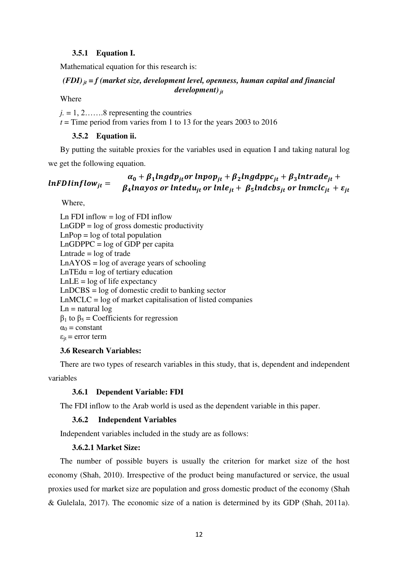# **3.5.1 Equation I.**

Mathematical equation for this research is:

# *(FDI) jt = f (market size, development level, openness, human capital and financial development) jt*

Where

 $i = 1, 2, \ldots, 8$  representing the countries

 $t =$ Time period from varies from 1 to 13 for the years 2003 to 2016

# **3.5.2 Equation ii.**

By putting the suitable proxies for the variables used in equation I and taking natural log we get the following equation.

 $lnFDlinflow_{it} =$  $\alpha_0 + \beta_1$ lngdp<sub>it</sub>or lnpop<sub>it</sub> +  $\beta_2$ lngdppc<sub>it</sub> +  $\beta_3$ lntrade<sub>it</sub> +  $\beta_4$ lnayos or lntedu<sub>it</sub> or lnle<sub>it</sub> +  $\beta_5$ lndcbs<sub>it</sub> or lnmclc<sub>it</sub> +  $\varepsilon_{it}$ 

Where,

Ln FDI inflow  $=$  log of FDI inflow  $LnGDP = log of gross domestic productivity$  $LnPop = log of total population$  $LnGDPPC = log of GDP per capita$ Lntrade  $=$  log of trade  $LnAYOS = log of average years of schooling$  $LnTEdu = log of$  tertiary education  $LnLE = log of life$  expectancy LnDCBS = log of domestic credit to banking sector LnMCLC = log of market capitalisation of listed companies  $Ln =$ natural  $log$  $β_1$  to  $β_5$  = Coefficients for regression  $\alpha_0$  = constant  $\varepsilon_{it}$  = error term

# **3.6 Research Variables:**

There are two types of research variables in this study, that is, dependent and independent variables

# **3.6.1 Dependent Variable: FDI**

The FDI inflow to the Arab world is used as the dependent variable in this paper.

# **3.6.2 Independent Variables**

Independent variables included in the study are as follows:

# **3.6.2.1 Market Size:**

The number of possible buyers is usually the criterion for market size of the host economy (Shah, 2010). Irrespective of the product being manufactured or service, the usual proxies used for market size are population and gross domestic product of the economy (Shah & Gulelala, 2017). The economic size of a nation is determined by its GDP (Shah, 2011a).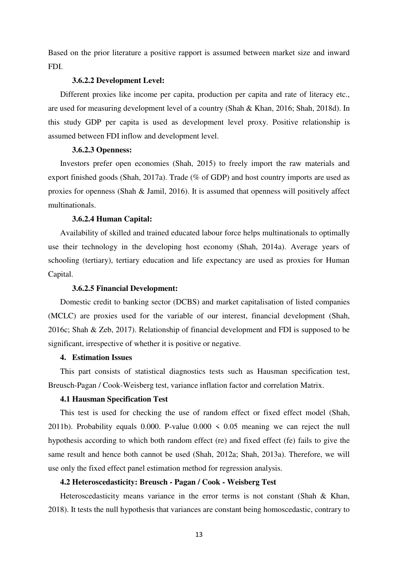Based on the prior literature a positive rapport is assumed between market size and inward FDI.

# **3.6.2.2 Development Level:**

Different proxies like income per capita, production per capita and rate of literacy etc., are used for measuring development level of a country (Shah & Khan, 2016; Shah, 2018d). In this study GDP per capita is used as development level proxy. Positive relationship is assumed between FDI inflow and development level.

#### **3.6.2.3 Openness:**

Investors prefer open economies (Shah, 2015) to freely import the raw materials and export finished goods (Shah, 2017a). Trade (% of GDP) and host country imports are used as proxies for openness (Shah & Jamil, 2016). It is assumed that openness will positively affect multinationals.

# **3.6.2.4 Human Capital:**

Availability of skilled and trained educated labour force helps multinationals to optimally use their technology in the developing host economy (Shah, 2014a). Average years of schooling (tertiary), tertiary education and life expectancy are used as proxies for Human Capital.

# **3.6.2.5 Financial Development:**

Domestic credit to banking sector (DCBS) and market capitalisation of listed companies (MCLC) are proxies used for the variable of our interest, financial development (Shah, 2016c; Shah & Zeb, 2017). Relationship of financial development and FDI is supposed to be significant, irrespective of whether it is positive or negative.

# **4. Estimation Issues**

This part consists of statistical diagnostics tests such as Hausman specification test, Breusch-Pagan / Cook-Weisberg test, variance inflation factor and correlation Matrix.

# **4.1 Hausman Specification Test**

This test is used for checking the use of random effect or fixed effect model (Shah, 2011b). Probability equals 0.000. P-value  $0.000 \le 0.05$  meaning we can reject the null hypothesis according to which both random effect (re) and fixed effect (fe) fails to give the same result and hence both cannot be used (Shah, 2012a; Shah, 2013a). Therefore, we will use only the fixed effect panel estimation method for regression analysis.

# **4.2 Heteroscedasticity: Breusch - Pagan / Cook - Weisberg Test**

Heteroscedasticity means variance in the error terms is not constant (Shah & Khan, 2018). It tests the null hypothesis that variances are constant being homoscedastic, contrary to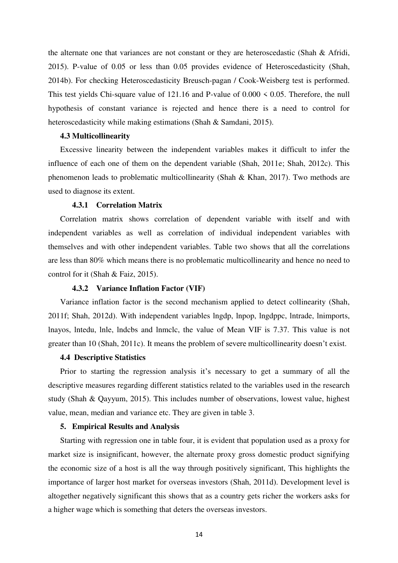the alternate one that variances are not constant or they are heteroscedastic (Shah & Afridi, 2015). P-value of 0.05 or less than 0.05 provides evidence of Heteroscedasticity (Shah, 2014b). For checking Heteroscedasticity Breusch-pagan / Cook-Weisberg test is performed. This test yields Chi-square value of 121.16 and P-value of 0.000 < 0.05. Therefore, the null hypothesis of constant variance is rejected and hence there is a need to control for heteroscedasticity while making estimations (Shah & Samdani, 2015).

#### **4.3 Multicollinearity**

Excessive linearity between the independent variables makes it difficult to infer the influence of each one of them on the dependent variable (Shah, 2011e; Shah, 2012c). This phenomenon leads to problematic multicollinearity (Shah & Khan, 2017). Two methods are used to diagnose its extent.

# **4.3.1 Correlation Matrix**

Correlation matrix shows correlation of dependent variable with itself and with independent variables as well as correlation of individual independent variables with themselves and with other independent variables. Table two shows that all the correlations are less than 80% which means there is no problematic multicollinearity and hence no need to control for it (Shah & Faiz, 2015).

#### **4.3.2 Variance Inflation Factor (VIF)**

Variance inflation factor is the second mechanism applied to detect collinearity (Shah, 2011f; Shah, 2012d). With independent variables lngdp, lnpop, lngdppc, lntrade, lnimports, lnayos, lntedu, lnle, lndcbs and lnmclc, the value of Mean VIF is 7.37. This value is not greater than 10 (Shah, 2011c). It means the problem of severe multicollinearity doesn't exist.

# **4.4 Descriptive Statistics**

Prior to starting the regression analysis it's necessary to get a summary of all the descriptive measures regarding different statistics related to the variables used in the research study (Shah & Qayyum, 2015). This includes number of observations, lowest value, highest value, mean, median and variance etc. They are given in table 3.

# **5. Empirical Results and Analysis**

Starting with regression one in table four, it is evident that population used as a proxy for market size is insignificant, however, the alternate proxy gross domestic product signifying the economic size of a host is all the way through positively significant, This highlights the importance of larger host market for overseas investors (Shah, 2011d). Development level is altogether negatively significant this shows that as a country gets richer the workers asks for a higher wage which is something that deters the overseas investors.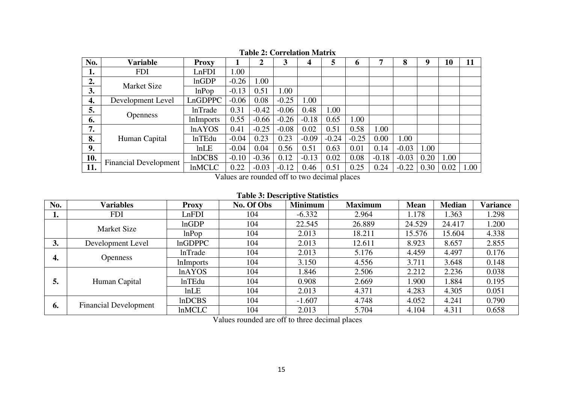| No. | <b>Variable</b>              | <b>Proxy</b>     |         | $\overline{2}$ | 3       | 4       | 5       | h       | ┑       | 8       | 9    | 10   | 11   |
|-----|------------------------------|------------------|---------|----------------|---------|---------|---------|---------|---------|---------|------|------|------|
| ı.  | <b>FDI</b>                   | LnFDI            | 1.00    |                |         |         |         |         |         |         |      |      |      |
| 2.  | <b>Market Size</b>           | lnGDP            | $-0.26$ | 1.00           |         |         |         |         |         |         |      |      |      |
| 3.  |                              | lnPop            | $-0.13$ | 0.51           | 1.00    |         |         |         |         |         |      |      |      |
| 4.  | Development Level            | LnGDPPC          | $-0.06$ | 0.08           | $-0.25$ | 1.00    |         |         |         |         |      |      |      |
| 5.  |                              | <b>InTrade</b>   | 0.31    | $-0.42$        | $-0.06$ | 0.48    | 1.00    |         |         |         |      |      |      |
| 6.  | <b>Openness</b>              | <i>lnImports</i> | 0.55    | $-0.66$        | $-0.26$ | $-0.18$ | 0.65    | 1.00    |         |         |      |      |      |
| 7.  |                              | <b>lnAYOS</b>    | 0.41    | $-0.25$        | $-0.08$ | 0.02    | 0.51    | 0.58    | 1.00    |         |      |      |      |
| 8.  | Human Capital                | <b>lnTEdu</b>    | $-0.04$ | 0.23           | 0.23    | $-0.09$ | $-0.24$ | $-0.25$ | 0.00    | 1.00    |      |      |      |
| 9.  |                              | lnLE             | $-0.04$ | 0.04           | 0.56    | 0.51    | 0.63    | 0.01    | 0.14    | $-0.03$ | 1.00 |      |      |
| 10. |                              | <b>InDCBS</b>    | $-0.10$ | $-0.36$        | 0.12    | $-0.13$ | 0.02    | 0.08    | $-0.18$ | $-0.03$ | 0.20 | 1.00 |      |
| 11. | <b>Financial Development</b> | <b>InMCLC</b>    | 0.22    | $-0.03$        | $-0.12$ | 0.46    | 0.51    | 0.25    | 0.24    | $-0.22$ | 0.30 | 0.02 | 1.00 |

**Table 2: Correlation Matrix** 

Values are rounded off to two decimal places

# **Table 3: Descriptive Statistics**

| No. | Variables                           | <b>Proxy</b>     | No. Of Obs | <b>Minimum</b> | <b>Maximum</b> | <b>Mean</b> | <b>Median</b> | Variance |
|-----|-------------------------------------|------------------|------------|----------------|----------------|-------------|---------------|----------|
| ı.  | <b>FDI</b>                          | LnFDI            | 104        | $-6.332$       | 2.964          | 1.178       | 1.363         | 1.298    |
|     | <b>Market Size</b>                  | lnGDP            | 104        | 22.545         | 26.889         | 24.529      | 24.417        | 1.200    |
|     |                                     | lnPop            | 104        | 2.013          | 18.211         | 15.576      | 15.604        | 4.338    |
| 3.  | <b>InGDPPC</b><br>Development Level |                  | 104        | 2.013          | 12.611         | 8.923       | 8.657         | 2.855    |
| 4.  | <b>Openness</b>                     | <b>lnTrade</b>   | 104        | 2.013          | 5.176          | 4.459       | 4.497         | 0.176    |
|     |                                     | <i>lnImports</i> | 104        | 3.150          | 4.556          | 3.711       | 3.648         | 0.148    |
|     | Human Capital                       | lnAYOS           | 104        | 1.846          | 2.506          | 2.212       | 2.236         | 0.038    |
| 5.  |                                     | <b>lnTEdu</b>    | 104        | 0.908          | 2.669          | 1.900       | 1.884         | 0.195    |
|     |                                     | lnLE             | 104        | 2.013          | 4.371          | 4.283       | 4.305         | 0.051    |
| 6.  | <b>Financial Development</b>        | InDCBS           | 104        | $-1.607$       | 4.748          | 4.052       | 4.241         | 0.790    |
|     |                                     | <b>InMCLC</b>    | 104        | 2.013          | 5.704          | 4.104       | 4.311         | 0.658    |

Values rounded are off to three decimal places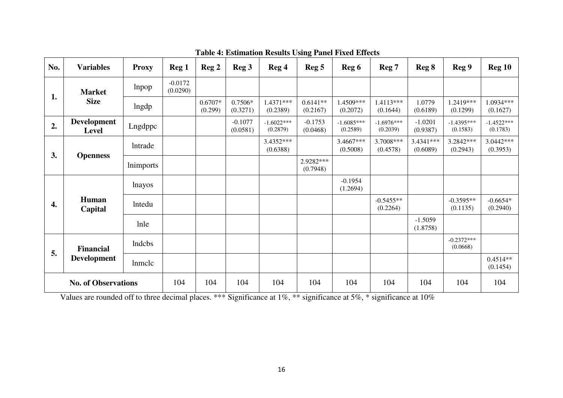| No.                        | <b>Variables</b>                   | <b>Proxy</b>   | Reg 1                 | Reg 2                | Reg 3                 | Reg 4                    | Reg <sub>5</sub>       | Reg 6                    | Reg 7                    | Reg 8                   | Reg 9                                               | <b>Reg 10</b>                                                                                                                  |
|----------------------------|------------------------------------|----------------|-----------------------|----------------------|-----------------------|--------------------------|------------------------|--------------------------|--------------------------|-------------------------|-----------------------------------------------------|--------------------------------------------------------------------------------------------------------------------------------|
| 1.                         | <b>Market</b>                      | lnpop          | $-0.0172$<br>(0.0290) |                      |                       |                          |                        |                          |                          |                         |                                                     |                                                                                                                                |
|                            | <b>Size</b>                        | lngdp          |                       | $0.6707*$<br>(0.299) | 0.7506*<br>(0.3271)   | 1.4371***<br>(0.2389)    | $0.6141**$<br>(0.2167) | 1.4509***<br>(0.2072)    | 1.4113***<br>(0.1644)    | 1.0779<br>(0.6189)      | 1.2419***<br>(0.1299)                               | 1.0934***<br>(0.1627)<br>$-1.4522***$<br>(0.1783)<br>3.0442***<br>(0.3953)<br>$-0.6654*$<br>(0.2940)<br>$0.4514**$<br>(0.1454) |
| 2.                         | <b>Development</b><br><b>Level</b> | Lngdppc        |                       |                      | $-0.1077$<br>(0.0581) | $-1.6022***$<br>(0.2879) | $-0.1753$<br>(0.0468)  | $-1.6085***$<br>(0.2589) | $-1.6976***$<br>(0.2039) | $-1.0201$<br>(0.9387)   | $-1.4395***$<br>(0.1583)                            |                                                                                                                                |
| 3.                         |                                    | <b>Intrade</b> |                       |                      |                       | $3.4352***$<br>(0.6388)  |                        | 3.4667***<br>(0.5008)    | 3.7008***<br>(0.4578)    | $3.4341***$<br>(0.6089) | 3.2842***<br>(0.2943)                               |                                                                                                                                |
|                            | <b>Openness</b>                    | lnimports      |                       |                      |                       |                          | 2.9282***<br>(0.7948)  |                          |                          |                         |                                                     |                                                                                                                                |
| 4.                         |                                    | lnayos         |                       |                      |                       |                          |                        | $-0.1954$<br>(1.2694)    |                          |                         | $-0.3595**$<br>(0.1135)<br>$-0.2372***$<br>(0.0668) |                                                                                                                                |
|                            | <b>Human</b><br>Capital            | <b>Intedu</b>  |                       |                      |                       |                          |                        |                          | $-0.5455**$<br>(0.2264)  |                         |                                                     |                                                                                                                                |
|                            |                                    | lnle           |                       |                      |                       |                          |                        |                          |                          | $-1.5059$<br>(1.8758)   |                                                     |                                                                                                                                |
| 5.                         | <b>Financial</b>                   | lndcbs         |                       |                      |                       |                          |                        |                          |                          |                         |                                                     |                                                                                                                                |
|                            | <b>Development</b>                 | lnmclc         |                       |                      |                       |                          |                        |                          |                          |                         |                                                     |                                                                                                                                |
| <b>No. of Observations</b> |                                    |                | 104                   | 104                  | 104                   | 104                      | 104                    | 104                      | 104                      | 104                     | 104                                                 | 104                                                                                                                            |

**Table 4: Estimation Results Using Panel Fixed Effects** 

Values are rounded off to three decimal places. \*\*\* Significance at 1%, \*\* significance at 5%, \* significance at 10%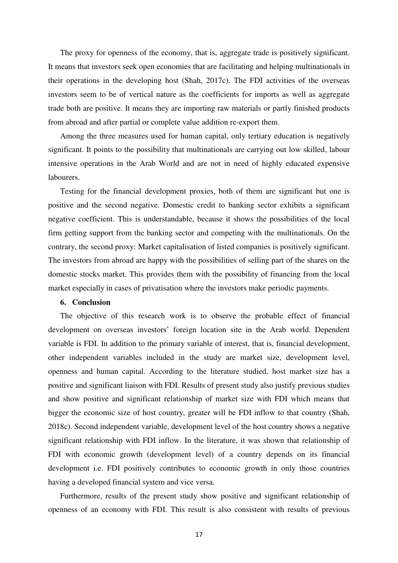The proxy for openness of the economy, that is, aggregate trade is positively significant. It means that investors seek open economies that are facilitating and helping multinationals in their operations in the developing host (Shah, 2017c). The FDI activities of the overseas investors seem to be of vertical nature as the coefficients for imports as well as aggregate trade both are positive. It means they are importing raw materials or partly finished products from abroad and after partial or complete value addition re-export them.

Among the three measures used for human capital, only tertiary education is negatively significant. It points to the possibility that multinationals are carrying out low skilled, labour intensive operations in the Arab World and are not in need of highly educated expensive labourers.

Testing for the financial development proxies, both of them are significant but one is positive and the second negative. Domestic credit to banking sector exhibits a significant negative coefficient. This is understandable, because it shows the possibilities of the local firm getting support from the banking sector and competing with the multinationals. On the contrary, the second proxy: Market capitalisation of listed companies is positively significant. The investors from abroad are happy with the possibilities of selling part of the shares on the domestic stocks market. This provides them with the possibility of financing from the local market especially in cases of privatisation where the investors make periodic payments.

#### **6. Conclusion**

The objective of this research work is to observe the probable effect of financial development on overseas investors' foreign location site in the Arab world. Dependent variable is FDI. In addition to the primary variable of interest, that is, financial development, other independent variables included in the study are market size, development level, openness and human capital. According to the literature studied, host market size has a positive and significant liaison with FDI. Results of present study also justify previous studies and show positive and significant relationship of market size with FDI which means that bigger the economic size of host country, greater will be FDI inflow to that country (Shah, 2018c). Second independent variable, development level of the host country shows a negative significant relationship with FDI inflow. In the literature, it was shown that relationship of FDI with economic growth (development level) of a country depends on its financial development i.e. FDI positively contributes to economic growth in only those countries having a developed financial system and vice versa.

Furthermore, results of the present study show positive and significant relationship of openness of an economy with FDI. This result is also consistent with results of previous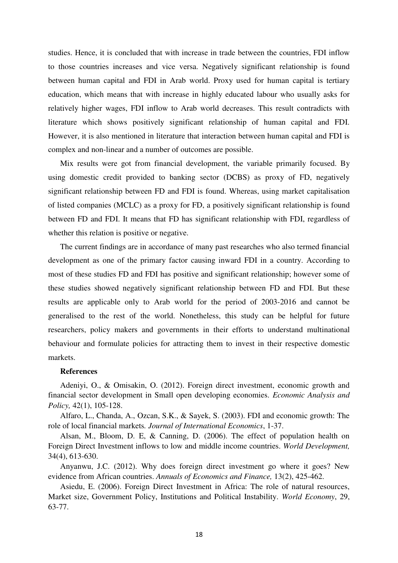studies. Hence, it is concluded that with increase in trade between the countries, FDI inflow to those countries increases and vice versa. Negatively significant relationship is found between human capital and FDI in Arab world. Proxy used for human capital is tertiary education, which means that with increase in highly educated labour who usually asks for relatively higher wages, FDI inflow to Arab world decreases. This result contradicts with literature which shows positively significant relationship of human capital and FDI. However, it is also mentioned in literature that interaction between human capital and FDI is complex and non-linear and a number of outcomes are possible.

Mix results were got from financial development, the variable primarily focused. By using domestic credit provided to banking sector (DCBS) as proxy of FD, negatively significant relationship between FD and FDI is found. Whereas, using market capitalisation of listed companies (MCLC) as a proxy for FD, a positively significant relationship is found between FD and FDI. It means that FD has significant relationship with FDI, regardless of whether this relation is positive or negative.

The current findings are in accordance of many past researches who also termed financial development as one of the primary factor causing inward FDI in a country. According to most of these studies FD and FDI has positive and significant relationship; however some of these studies showed negatively significant relationship between FD and FDI. But these results are applicable only to Arab world for the period of 2003-2016 and cannot be generalised to the rest of the world. Nonetheless, this study can be helpful for future researchers, policy makers and governments in their efforts to understand multinational behaviour and formulate policies for attracting them to invest in their respective domestic markets.

# **References**

Adeniyi, O., & Omisakin, O. (2012). Foreign direct investment, economic growth and financial sector development in Small open developing economies. *Economic Analysis and Policy,* 42(1), 105-128.

Alfaro, L., Chanda, A., Ozcan, S.K., & Sayek, S. (2003). FDI and economic growth: The role of local financial markets*. Journal of International Economics*, 1-37.

Alsan, M., Bloom, D. E, & Canning, D. (2006). The effect of population health on Foreign Direct Investment inflows to low and middle income countries. *World Development,*  34(4), 613-630.

Anyanwu, J.C. (2012). Why does foreign direct investment go where it goes? New evidence from African countries. *Annuals of Economics and Finance,* 13(2), 425-462.

Asiedu, E. (2006). Foreign Direct Investment in Africa: The role of natural resources, Market size, Government Policy, Institutions and Political Instability. *World Economy*, 29, 63-77.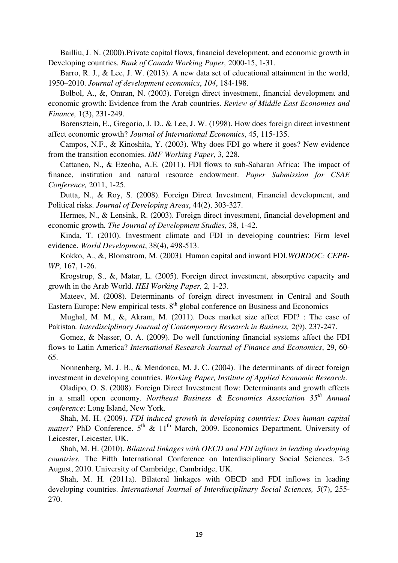Bailliu, J. N. (2000).Private capital flows, financial development, and economic growth in Developing countries*. Bank of Canada Working Paper,* 2000-15, 1-31.

Barro, R. J., & Lee, J. W. (2013). A new data set of educational attainment in the world, 1950–2010. *Journal of development economics*, *104*, 184-198.

Bolbol, A., &, Omran, N. (2003). Foreign direct investment, financial development and economic growth: Evidence from the Arab countries. *Review of Middle East Economies and Finance,* 1(3), 231-249.

Borensztein, E., Gregorio, J. D., & Lee, J. W. (1998). How does foreign direct investment affect economic growth? *Journal of International Economics*, 45, 115-135.

Campos, N.F., & Kinoshita, Y. (2003). Why does FDI go where it goes? New evidence from the transition economies. *IMF Working Paper*, 3, 228.

Cattaneo, N., & Ezeoha, A.E. (2011). FDI flows to sub-Saharan Africa: The impact of finance, institution and natural resource endowment. *Paper Submission for CSAE Conference,* 2011, 1-25.

Dutta, N., & Roy, S. (2008). Foreign Direct Investment, Financial development, and Political risks. *Journal of Developing Areas*, 44(2), 303-327.

Hermes, N., & Lensink, R. (2003). Foreign direct investment, financial development and economic growth*. The Journal of Development Studies,* 38*,* 1-42.

Kinda, T. (2010). Investment climate and FDI in developing countries: Firm level evidence. *World Development*, 38(4), 498-513.

Kokko, A., &, Blomstrom, M. (2003*).* Human capital and inward FDI*.WORDOC: CEPR-WP,* 167, 1-26.

Krogstrup, S., &, Matar, L. (2005). Foreign direct investment, absorptive capacity and growth in the Arab World. *HEI Working Paper,* 2*,* 1-23.

Mateev, M. (2008). Determinants of foreign direct investment in Central and South Eastern Europe: New empirical tests.  $8<sup>th</sup>$  global conference on Business and Economics

Mughal, M. M., &, Akram, M. (2011). Does market size affect FDI? : The case of Pakistan*. Interdisciplinary Journal of Contemporary Research in Business,* 2(9), 237-247.

Gomez, & Nasser, O. A. (2009). Do well functioning financial systems affect the FDI flows to Latin America? *International Research Journal of Finance and Economics*, 29, 60- 65.

Nonnenberg, M. J. B., & Mendonca, M. J. C. (2004). The determinants of direct foreign investment in developing countries. *Working Paper, Institute of Applied Economic Research*.

Oladipo, O. S. (2008). Foreign Direct Investment flow: Determinants and growth effects in a small open economy*. Northeast Business & Economics Association 35th Annual conference*: Long Island, New York.

Shah, M. H. (2009). *FDI induced growth in developing countries: Does human capital matter?* PhD Conference.  $5<sup>th</sup>$  &  $11<sup>th</sup>$  March, 2009. Economics Department, University of Leicester, Leicester, UK.

Shah, M. H. (2010). *Bilateral linkages with OECD and FDI inflows in leading developing countries.* The Fifth International Conference on Interdisciplinary Social Sciences. 2-5 August, 2010. University of Cambridge, Cambridge, UK.

Shah, M. H. (2011a). Bilateral linkages with OECD and FDI inflows in leading developing countries. *International Journal of Interdisciplinary Social Sciences, 5*(7), 255- 270.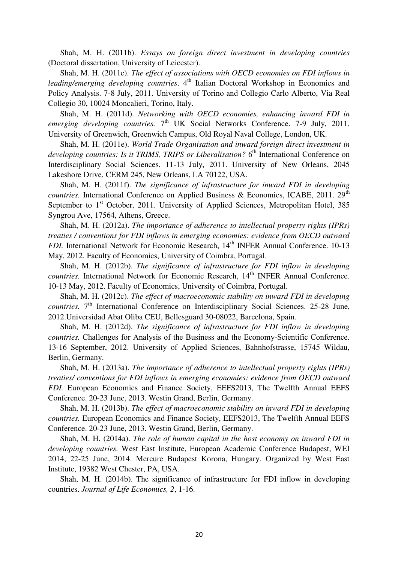Shah, M. H. (2011b). *Essays on foreign direct investment in developing countries* (Doctoral dissertation, University of Leicester).

Shah, M. H. (2011c). *The effect of associations with OECD economies on FDI inflows in leading/emerging developing countries*. 4<sup>th</sup> Italian Doctoral Workshop in Economics and Policy Analysis. 7-8 July, 2011. University of Torino and Collegio Carlo Alberto, Via Real Collegio 30, 10024 Moncalieri, Torino, Italy.

Shah, M. H. (2011d). *Networking with OECD economies, enhancing inward FDI in*  emerging developing countries. 7<sup>th</sup> UK Social Networks Conference. 7-9 July, 2011. University of Greenwich, Greenwich Campus, Old Royal Naval College, London, UK.

Shah, M. H. (2011e). *World Trade Organisation and inward foreign direct investment in developing countries: Is it TRIMS, TRIPS or Liberalisation?* 6<sup>th</sup> International Conference on Interdisciplinary Social Sciences. 11-13 July, 2011. University of New Orleans, 2045 Lakeshore Drive, CERM 245, New Orleans, LA 70122, USA.

Shah, M. H. (2011f). *The significance of infrastructure for inward FDI in developing countries.* International Conference on Applied Business & Economics, ICABE, 2011. 29<sup>th</sup> September to 1<sup>st</sup> October, 2011. University of Applied Sciences, Metropolitan Hotel, 385 Syngrou Ave, 17564, Athens, Greece.

Shah, M. H. (2012a). *The importance of adherence to intellectual property rights (IPRs) treaties / conventions for FDI inflows in emerging economies: evidence from OECD outward FDI*. International Network for Economic Research, 14<sup>th</sup> INFER Annual Conference, 10-13 May, 2012. Faculty of Economics, University of Coimbra, Portugal.

Shah, M. H. (2012b). *The significance of infrastructure for FDI inflow in developing countries.* International Network for Economic Research, 14<sup>th</sup> INFER Annual Conference. 10-13 May, 2012. Faculty of Economics, University of Coimbra, Portugal.

Shah, M. H. (2012c). *The effect of macroeconomic stability on inward FDI in developing*  countries. 7<sup>th</sup> International Conference on Interdisciplinary Social Sciences. 25-28 June, 2012.Universidad Abat Oliba CEU, Bellesguard 30-08022, Barcelona, Spain.

Shah, M. H. (2012d). *The significance of infrastructure for FDI inflow in developing countries.* Challenges for Analysis of the Business and the Economy‐Scientific Conference. 13-16 September, 2012. University of Applied Sciences, Bahnhofstrasse, 15745 Wildau, Berlin, Germany.

Shah, M. H. (2013a). *The importance of adherence to intellectual property rights (IPRs) treaties/ conventions for FDI inflows in emerging economies: evidence from OECD outward FDI.* European Economics and Finance Society, EEFS2013, The Twelfth Annual EEFS Conference. 20-23 June, 2013. Westin Grand, Berlin, Germany.

Shah, M. H. (2013b). *The effect of macroeconomic stability on inward FDI in developing countries.* European Economics and Finance Society, EEFS2013, The Twelfth Annual EEFS Conference. 20-23 June, 2013. Westin Grand, Berlin, Germany.

Shah, M. H. (2014a). *The role of human capital in the host economy on inward FDI in developing countries.* West East Institute, European Academic Conference Budapest, WEI 2014, 22-25 June, 2014. Mercure Budapest Korona, Hungary. Organized by West East Institute, 19382 West Chester, PA, USA.

Shah, M. H. (2014b). The significance of infrastructure for FDI inflow in developing countries. *Journal of Life Economics, 2*, 1-16.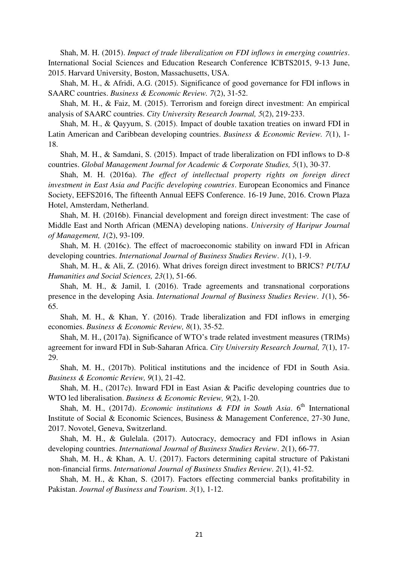Shah, M. H. (2015). *Impact of trade liberalization on FDI inflows in emerging countries*. International Social Sciences and Education Research Conference ICBTS2015, 9-13 June, 2015. Harvard University, Boston, Massachusetts, USA.

Shah, M. H., & Afridi, A.G. (2015). Significance of good governance for FDI inflows in SAARC countries. *Business & Economic Review. 7*(2), 31-52.

Shah, M. H., & Faiz, M. (2015). Terrorism and foreign direct investment: An empirical analysis of SAARC countries. *City University Research Journal, 5*(2), 219-233.

Shah, M. H., & Qayyum, S. (2015). Impact of double taxation treaties on inward FDI in Latin American and Caribbean developing countries. *Business & Economic Review. 7*(1), 1- 18.

Shah, M. H., & Samdani, S. (2015). Impact of trade liberalization on FDI inflows to D-8 countries. *Global Management Journal for Academic & Corporate Studies, 5*(1), 30-37.

Shah, M. H. (2016a). *The effect of intellectual property rights on foreign direct investment in East Asia and Pacific developing countries*. European Economics and Finance Society, EEFS2016, The fifteenth Annual EEFS Conference. 16-19 June, 2016. Crown Plaza Hotel, Amsterdam, Netherland.

Shah, M. H. (2016b). Financial development and foreign direct investment: The case of Middle East and North African (MENA) developing nations. *University of Haripur Journal of Management, 1*(2), 93-109.

Shah, M. H. (2016c). The effect of macroeconomic stability on inward FDI in African developing countries. *International Journal of Business Studies Review*. *1*(1), 1-9.

Shah, M. H., & Ali, Z. (2016). What drives foreign direct investment to BRICS? *PUTAJ Humanities and Social Sciences, 23*(1), 51-66.

Shah, M. H., & Jamil, I. (2016). Trade agreements and transnational corporations presence in the developing Asia. *International Journal of Business Studies Review*. *1*(1), 56- 65.

Shah, M. H., & Khan, Y. (2016). Trade liberalization and FDI inflows in emerging economies. *Business & Economic Review, 8*(1), 35-52.

Shah, M. H., (2017a). Significance of WTO's trade related investment measures (TRIMs) agreement for inward FDI in Sub-Saharan Africa. *City University Research Journal, 7*(1), 17- 29.

Shah, M. H., (2017b). Political institutions and the incidence of FDI in South Asia. *Business & Economic Review, 9*(1), 21-42.

Shah, M. H., (2017c). Inward FDI in East Asian & Pacific developing countries due to WTO led liberalisation. *Business & Economic Review, 9*(2), 1-20.

Shah, M. H., (2017d). *Economic institutions & FDI in South Asia*. 6<sup>th</sup> International Institute of Social & Economic Sciences, Business & Management Conference, 27-30 June, 2017. Novotel, Geneva, Switzerland.

Shah, M. H., & Gulelala. (2017). Autocracy, democracy and FDI inflows in Asian developing countries. *International Journal of Business Studies Review*. *2*(1), 66-77.

Shah, M. H., & Khan, A. U. (2017). Factors determining capital structure of Pakistani non-financial firms. *International Journal of Business Studies Review*. *2*(1), 41-52.

Shah, M. H., & Khan, S. (2017). Factors effecting commercial banks profitability in Pakistan. *Journal of Business and Tourism*. *3*(1), 1-12.